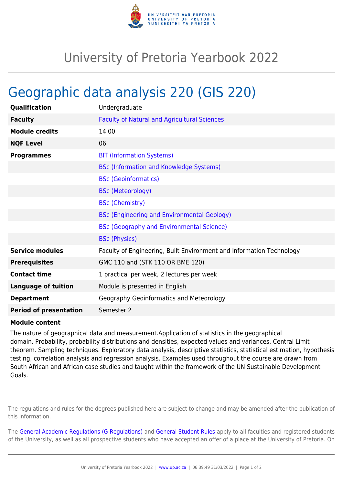

## University of Pretoria Yearbook 2022

## Geographic data analysis 220 (GIS 220)

| Qualification                 | Undergraduate                                                        |
|-------------------------------|----------------------------------------------------------------------|
| <b>Faculty</b>                | <b>Faculty of Natural and Agricultural Sciences</b>                  |
| <b>Module credits</b>         | 14.00                                                                |
| <b>NQF Level</b>              | 06                                                                   |
| <b>Programmes</b>             | <b>BIT (Information Systems)</b>                                     |
|                               | <b>BSc (Information and Knowledge Systems)</b>                       |
|                               | <b>BSc (Geoinformatics)</b>                                          |
|                               | <b>BSc (Meteorology)</b>                                             |
|                               | <b>BSc (Chemistry)</b>                                               |
|                               | <b>BSc (Engineering and Environmental Geology)</b>                   |
|                               | <b>BSc (Geography and Environmental Science)</b>                     |
|                               | <b>BSc (Physics)</b>                                                 |
| <b>Service modules</b>        | Faculty of Engineering, Built Environment and Information Technology |
| <b>Prerequisites</b>          | GMC 110 and (STK 110 OR BME 120)                                     |
| <b>Contact time</b>           | 1 practical per week, 2 lectures per week                            |
| <b>Language of tuition</b>    | Module is presented in English                                       |
| <b>Department</b>             | Geography Geoinformatics and Meteorology                             |
| <b>Period of presentation</b> | Semester 2                                                           |

## **Module content**

The nature of geographical data and measurement.Application of statistics in the geographical domain. Probability, probability distributions and densities, expected values and variances, Central Limit theorem. Sampling techniques. Exploratory data analysis, descriptive statistics, statistical estimation, hypothesis testing, correlation analysis and regression analysis. Examples used throughout the course are drawn from South African and African case studies and taught within the framework of the UN Sustainable Development Goals.

The regulations and rules for the degrees published here are subject to change and may be amended after the publication of this information.

The [General Academic Regulations \(G Regulations\)](https://www.up.ac.za/faculty-of-education/yearbooks/2022/rules/view/REG) and [General Student Rules](https://www.up.ac.za/faculty-of-education/yearbooks/2022/rules/view/RUL) apply to all faculties and registered students of the University, as well as all prospective students who have accepted an offer of a place at the University of Pretoria. On